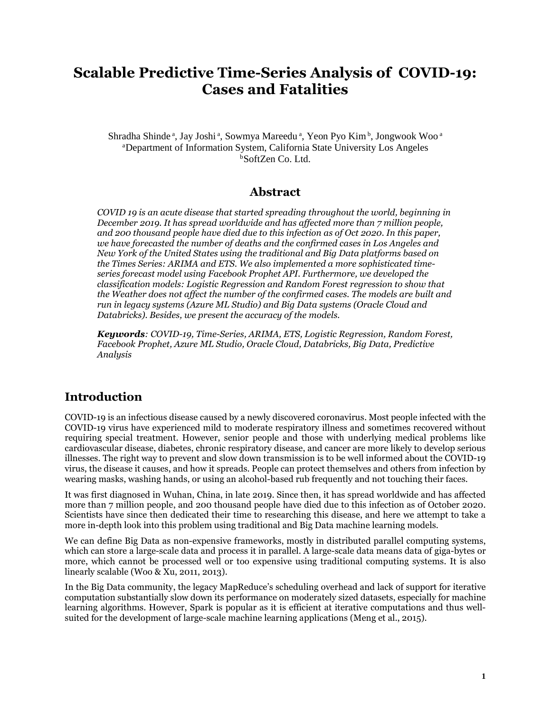# **Scalable Predictive Time-Series Analysis of COVID-19: Cases and Fatalities**

Shradha Shinde<sup>a</sup>, Jay Joshi<sup>a</sup>, Sowmya Mareedu<sup>a</sup>, Yeon Pyo Kim<sup>b</sup>, Jongwook Woo<sup>a</sup> <sup>a</sup>Department of Information System, California State University Los Angeles  $b$ SoftZen Co. Ltd.

### **Abstract**

*COVID 19 is an acute disease that started spreading throughout the world, beginning in December 2019. It has spread worldwide and has affected more than 7 million people, and 200 thousand people have died due to this infection as of Oct 2020. In this paper, we have forecasted the number of deaths and the confirmed cases in Los Angeles and New York of the United States using the traditional and Big Data platforms based on the Times Series: ARIMA and ETS. We also implemented a more sophisticated timeseries forecast model using Facebook Prophet API. Furthermore, we developed the classification models: Logistic Regression and Random Forest regression to show that the Weather does not affect the number of the confirmed cases. The models are built and run in legacy systems (Azure ML Studio) and Big Data systems (Oracle Cloud and Databricks). Besides, we present the accuracy of the models.* 

*Keywords: COVID-19, Time-Series, ARIMA, ETS, Logistic Regression, Random Forest, Facebook Prophet, Azure ML Studio, Oracle Cloud, Databricks, Big Data, Predictive Analysis* 

## **Introduction**

COVID-19 is an infectious disease caused by a newly discovered coronavirus. Most people infected with the COVID-19 virus have experienced mild to moderate respiratory illness and sometimes recovered without requiring special treatment. However, senior people and those with underlying medical problems like cardiovascular disease, diabetes, chronic respiratory disease, and cancer are more likely to develop serious illnesses. The right way to prevent and slow down transmission is to be well informed about the COVID-19 virus, the disease it causes, and how it spreads. People can protect themselves and others from infection by wearing masks, washing hands, or using an alcohol-based rub frequently and not touching their faces.

It was first diagnosed in Wuhan, China, in late 2019. Since then, it has spread worldwide and has affected more than 7 million people, and 200 thousand people have died due to this infection as of October 2020. Scientists have since then dedicated their time to researching this disease, and here we attempt to take a more in-depth look into this problem using traditional and Big Data machine learning models.

We can define Big Data as non-expensive frameworks, mostly in distributed parallel computing systems, which can store a large-scale data and process it in parallel. A large-scale data means data of giga-bytes or more, which cannot be processed well or too expensive using traditional computing systems. It is also linearly scalable (Woo & Xu, 2011, 2013).

In the Big Data community, the legacy MapReduce's scheduling overhead and lack of support for iterative computation substantially slow down its performance on moderately sized datasets, especially for machine learning algorithms. However, Spark is popular as it is efficient at iterative computations and thus wellsuited for the development of large-scale machine learning applications (Meng et al., 2015).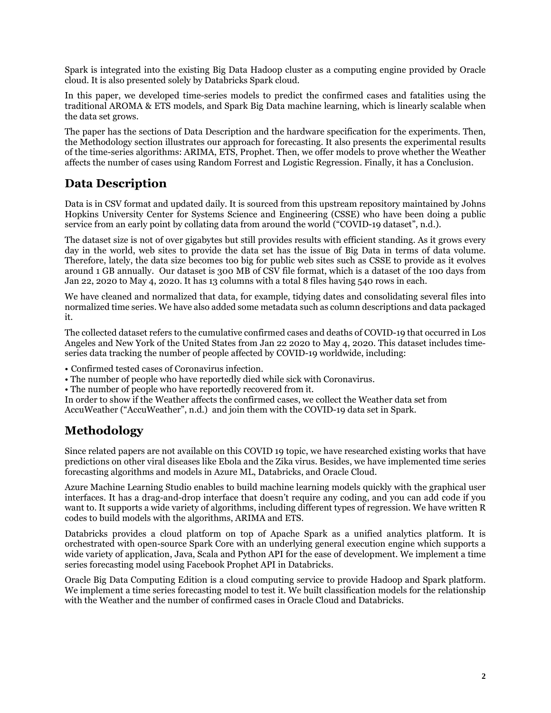Spark is integrated into the existing Big Data Hadoop cluster as a computing engine provided by Oracle cloud. It is also presented solely by Databricks Spark cloud.

In this paper, we developed time-series models to predict the confirmed cases and fatalities using the traditional AROMA & ETS models, and Spark Big Data machine learning, which is linearly scalable when the data set grows.

The paper has the sections of Data Description and the hardware specification for the experiments. Then, the Methodology section illustrates our approach for forecasting. It also presents the experimental results of the time-series algorithms: ARIMA, ETS, Prophet. Then, we offer models to prove whether the Weather affects the number of cases using Random Forrest and Logistic Regression. Finally, it has a Conclusion.

## **Data Description**

Data is in CSV format and updated daily. It is sourced from this upstream repository maintained by Johns Hopkins University Center for Systems Science and Engineering (CSSE) who have been doing a public service from an early point by collating data from around the world ("COVID-19 dataset", n.d.).

The dataset size is not of over gigabytes but still provides results with efficient standing. As it grows every day in the world, web sites to provide the data set has the issue of Big Data in terms of data volume. Therefore, lately, the data size becomes too big for public web sites such as CSSE to provide as it evolves around 1 GB annually. Our dataset is 300 MB of CSV file format, which is a dataset of the 100 days from Jan 22, 2020 to May 4, 2020. It has 13 columns with a total 8 files having 540 rows in each.

We have cleaned and normalized that data, for example, tidying dates and consolidating several files into normalized time series. We have also added some metadata such as column descriptions and data packaged it.

The collected dataset refers to the cumulative confirmed cases and deaths of COVID-19 that occurred in Los Angeles and New York of the United States from Jan 22 2020 to May 4, 2020. This dataset includes timeseries data tracking the number of people affected by COVID-19 worldwide, including:

• Confirmed tested cases of Coronavirus infection.

• The number of people who have reportedly died while sick with Coronavirus.

• The number of people who have reportedly recovered from it.

In order to show if the Weather affects the confirmed cases, we collect the Weather data set from AccuWeather ("AccuWeather", n.d.) and join them with the COVID-19 data set in Spark.

## **Methodology**

Since related papers are not available on this COVID 19 topic, we have researched existing works that have predictions on other viral diseases like Ebola and the Zika virus. Besides, we have implemented time series forecasting algorithms and models in Azure ML, Databricks, and Oracle Cloud.

Azure Machine Learning Studio enables to build machine learning models quickly with the graphical user interfaces. It has a drag-and-drop interface that doesn't require any coding, and you can add code if you want to. It supports a wide variety of algorithms, including different types of regression. We have written R codes to build models with the algorithms, ARIMA and ETS.

Databricks provides a cloud platform on top of Apache Spark as a unified analytics platform. It is orchestrated with open-source Spark Core with an underlying general execution engine which supports a wide variety of application, Java, Scala and Python API for the ease of development. We implement a time series forecasting model using Facebook Prophet API in Databricks.

Oracle Big Data Computing Edition is a cloud computing service to provide Hadoop and Spark platform. We implement a time series forecasting model to test it. We built classification models for the relationship with the Weather and the number of confirmed cases in Oracle Cloud and Databricks.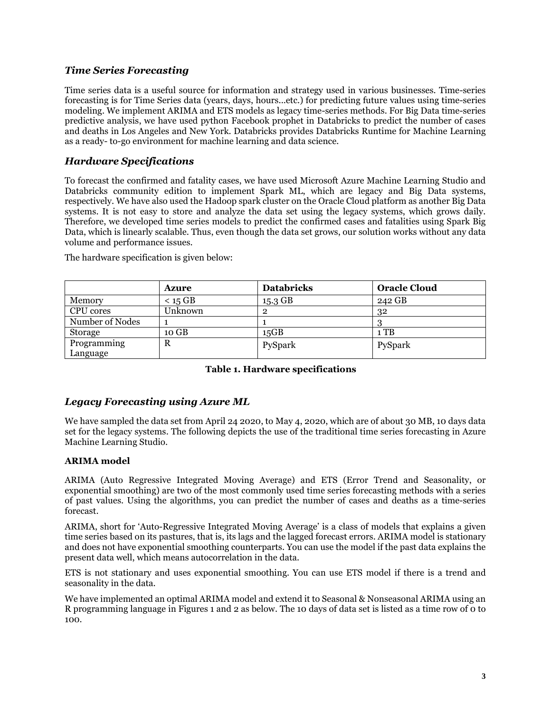#### *Time Series Forecasting*

Time series data is a useful source for information and strategy used in various businesses. Time-series forecasting is for Time Series data (years, days, hours...etc.) for predicting future values using time-series modeling. We implement ARIMA and ETS models as legacy time-series methods. For Big Data time-series predictive analysis, we have used python Facebook prophet in Databricks to predict the number of cases and deaths in Los Angeles and New York. Databricks provides Databricks Runtime for Machine Learning as a ready- to-go environment for machine learning and data science.

#### *Hardware Specifications*

To forecast the confirmed and fatality cases, we have used Microsoft Azure Machine Learning Studio and Databricks community edition to implement Spark ML, which are legacy and Big Data systems, respectively. We have also used the Hadoop spark cluster on the Oracle Cloud platform as another Big Data systems. It is not easy to store and analyze the data set using the legacy systems, which grows daily. Therefore, we developed time series models to predict the confirmed cases and fatalities using Spark Big Data, which is linearly scalable. Thus, even though the data set grows, our solution works without any data volume and performance issues.

|                         | <b>Azure</b> | <b>Databricks</b> | <b>Oracle Cloud</b> |
|-------------------------|--------------|-------------------|---------------------|
| Memory                  | $<$ 15 GB    | 15.3 GB           | 242 GB              |
| CPU cores               | Unknown      | റ                 | 32                  |
| Number of Nodes         |              |                   |                     |
| Storage                 | 10 GB        | 15GB              | 1 TB                |
| Programming<br>Language | R            | PySpark           | PySpark             |

The hardware specification is given below:

#### **Table 1. Hardware specifications**

#### *Legacy Forecasting using Azure ML*

We have sampled the data set from April 24 2020, to May 4, 2020, which are of about 30 MB, 10 days data set for the legacy systems. The following depicts the use of the traditional time series forecasting in Azure Machine Learning Studio.

#### **ARIMA model**

ARIMA (Auto Regressive Integrated Moving Average) and ETS (Error Trend and Seasonality, or exponential smoothing) are two of the most commonly used time series forecasting methods with a series of past values. Using the algorithms, you can predict the number of cases and deaths as a time-series forecast.

ARIMA, short for 'Auto-Regressive Integrated Moving Average' is a class of models that explains a given time series based on its pastures, that is, its lags and the lagged forecast errors. ARIMA model is stationary and does not have exponential smoothing counterparts. You can use the model if the past data explains the present data well, which means autocorrelation in the data.

ETS is not stationary and uses exponential smoothing. You can use ETS model if there is a trend and seasonality in the data.

We have implemented an optimal ARIMA model and extend it to Seasonal & Nonseasonal ARIMA using an R programming language in Figures 1 and 2 as below. The 10 days of data set is listed as a time row of 0 to 100.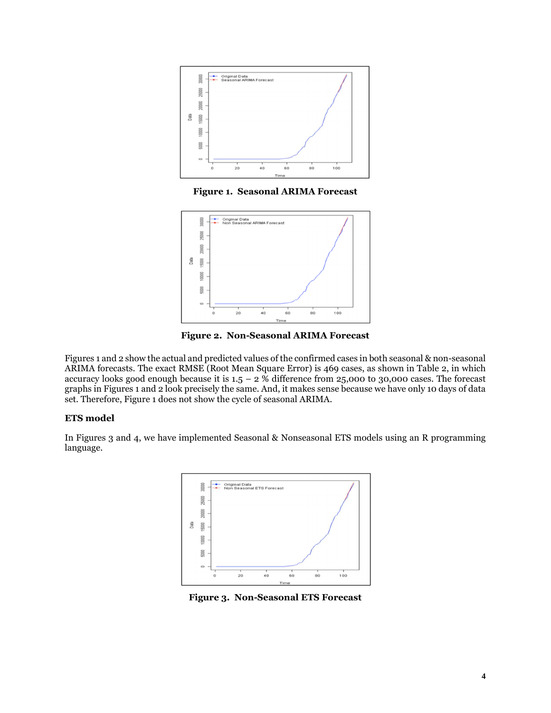

**Figure 1. Seasonal ARIMA Forecast**



**Figure 2. Non-Seasonal ARIMA Forecast** 

Figures 1 and 2 show the actual and predicted values of the confirmed cases in both seasonal & non-seasonal ARIMA forecasts. The exact RMSE (Root Mean Square Error) is 469 cases, as shown in Table 2, in which accuracy looks good enough because it is  $1.5 - 2$  % difference from 25,000 to 30,000 cases. The forecast graphs in Figures 1 and 2 look precisely the same. And, it makes sense because we have only 10 days of data set. Therefore, Figure 1 does not show the cycle of seasonal ARIMA.

#### **ETS model**

In Figures 3 and 4, we have implemented Seasonal & Nonseasonal ETS models using an R programming language.



**Figure 3. Non-Seasonal ETS Forecast**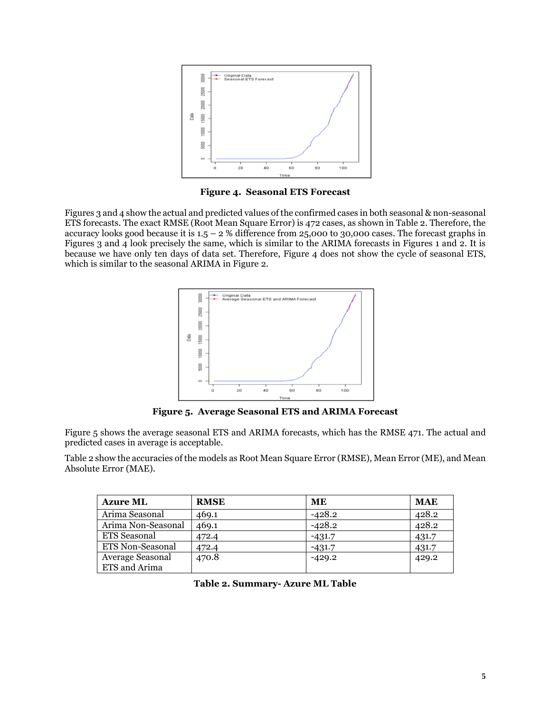

**Figure 4. Seasonal ETS Forecast** 

Figures 3 and 4 show the actual and predicted values of the confirmed cases in both seasonal & non-seasonal ETS forecasts. The exact RMSE (Root Mean Square Error) is 472 cases, as shown in Table 2. Therefore, the accuracy looks good because it is  $1.5 - 2$  % difference from 25,000 to 30,000 cases. The forecast graphs in Figures 3 and 4 look precisely the same, which is similar to the ARIMA forecasts in Figures 1 and 2. It is because we have only ten days of data set. Therefore, Figure 4 does not show the cycle of seasonal ETS, which is similar to the seasonal ARIMA in Figure 2.



**Figure 5. Average Seasonal ETS and ARIMA Forecast** 

Figure 5 shows the average seasonal ETS and ARIMA forecasts, which has the RMSE 471. The actual and predicted cases in average is acceptable.

Table 2 show the accuracies of the models as Root Mean Square Error (RMSE), Mean Error (ME), and Mean Absolute Error (MAE).

| <b>Azure ML</b>         | <b>RMSE</b> | ME       | <b>MAE</b> |
|-------------------------|-------------|----------|------------|
| Arima Seasonal          | 469.1       | $-428.2$ | 428.2      |
| Arima Non-Seasonal      | 469.1       | $-428.2$ | 428.2      |
| ETS Seasonal            | 472.4       | $-431.7$ | 431.7      |
| <b>ETS Non-Seasonal</b> | 472.4       | $-431.7$ | 431.7      |
| Average Seasonal        | 470.8       | $-429.2$ | 429.2      |
| ETS and Arima           |             |          |            |

**Table 2. Summary- Azure ML Table**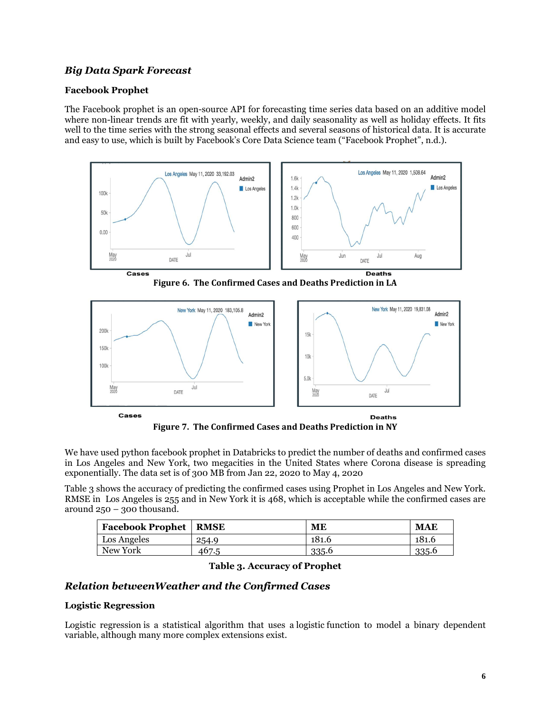#### *Big Data Spark Forecast*

#### **Facebook Prophet**

The Facebook prophet is an open-source API for forecasting time series data based on an additive model where non-linear trends are fit with yearly, weekly, and daily seasonality as well as holiday effects. It fits well to the time series with the strong seasonal effects and several seasons of historical data. It is accurate and easy to use, which is built by Facebook's Core Data Science team ("Facebook Prophet", n.d.).



**Figure 6. The Confirmed Cases and Deaths Prediction in LA** 



**Figure 7. The Confirmed Cases and Deaths Prediction in NY** 

We have used python facebook prophet in Databricks to predict the number of deaths and confirmed cases in Los Angeles and New York, two megacities in the United States where Corona disease is spreading exponentially. The data set is of 300 MB from Jan 22, 2020 to May 4, 2020

Table 3 shows the accuracy of predicting the confirmed cases using Prophet in Los Angeles and New York. RMSE in Los Angeles is 255 and in New York it is 468, which is acceptable while the confirmed cases are around 250 – 300 thousand.

| <b>Facebook Prophet</b> | RMSE  | ME    | <b>MAE</b> |
|-------------------------|-------|-------|------------|
| Los Angeles             | 254.9 | 181.6 | 181.6      |
| New York                | 467.5 | 335.6 | 335.6      |

|  |  | <b>Table 3. Accuracy of Prophet</b> |  |  |
|--|--|-------------------------------------|--|--|
|--|--|-------------------------------------|--|--|

#### *Relation betweenWeather and the Confirmed Cases*

#### **Logistic Regression**

Logistic regression is a statistical algorithm that uses a logistic function to model a binary dependent variable, although many more complex extensions exist.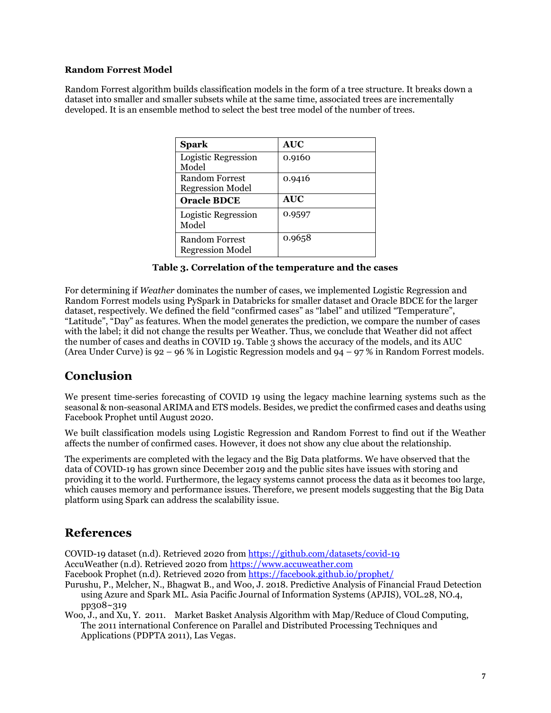#### **Random Forrest Model**

Random Forrest algorithm builds classification models in the form of a tree structure. It breaks down a dataset into smaller and smaller subsets while at the same time, associated trees are incrementally developed. It is an ensemble method to select the best tree model of the number of trees.

| <b>Spark</b>                              | <b>AUC</b> |
|-------------------------------------------|------------|
| Logistic Regression<br>Model              | 0.9160     |
| Random Forrest<br><b>Regression Model</b> | 0.9416     |
| <b>Oracle BDCE</b>                        | <b>AUC</b> |
| Logistic Regression<br>Model              | 0.9597     |
| Random Forrest<br><b>Regression Model</b> | 0.9658     |

#### **Table 3. Correlation of the temperature and the cases**

For determining if *Weather* dominates the number of cases, we implemented Logistic Regression and Random Forrest models using PySpark in Databricks for smaller dataset and Oracle BDCE for the larger dataset, respectively. We defined the field "confirmed cases" as "label" and utilized "Temperature", "Latitude", "Day" as features. When the model generates the prediction, we compare the number of cases with the label; it did not change the results per Weather. Thus, we conclude that Weather did not affect the number of cases and deaths in COVID 19. Table 3 shows the accuracy of the models, and its AUC (Area Under Curve) is 92 – 96 % in Logistic Regression models and 94 – 97 % in Random Forrest models.

### **Conclusion**

We present time-series forecasting of COVID 19 using the legacy machine learning systems such as the seasonal & non-seasonal ARIMA and ETS models. Besides, we predict the confirmed cases and deaths using Facebook Prophet until August 2020.

We built classification models using Logistic Regression and Random Forrest to find out if the Weather affects the number of confirmed cases. However, it does not show any clue about the relationship.

The experiments are completed with the legacy and the Big Data platforms. We have observed that the data of COVID-19 has grown since December 2019 and the public sites have issues with storing and providing it to the world. Furthermore, the legacy systems cannot process the data as it becomes too large, which causes memory and performance issues. Therefore, we present models suggesting that the Big Data platform using Spark can address the scalability issue.

## **References**

COVID-19 dataset (n.d). Retrieved 2020 from https://github.com/datasets/covid-19 AccuWeather (n.d). Retrieved 2020 from https://www.accuweather.com

Facebook Prophet (n.d). Retrieved 2020 from https://facebook.github.io/prophet/

Purushu, P., Melcher, N., Bhagwat B., and Woo, J. 2018. Predictive Analysis of Financial Fraud Detection using Azure and Spark ML. Asia Pacific Journal of Information Systems (APJIS), VOL.28, NO.4, pp308~319

Woo, J., and Xu, Y. 2011. Market Basket Analysis Algorithm with Map/Reduce of Cloud Computing, The 2011 international Conference on Parallel and Distributed Processing Techniques and Applications (PDPTA 2011), Las Vegas.